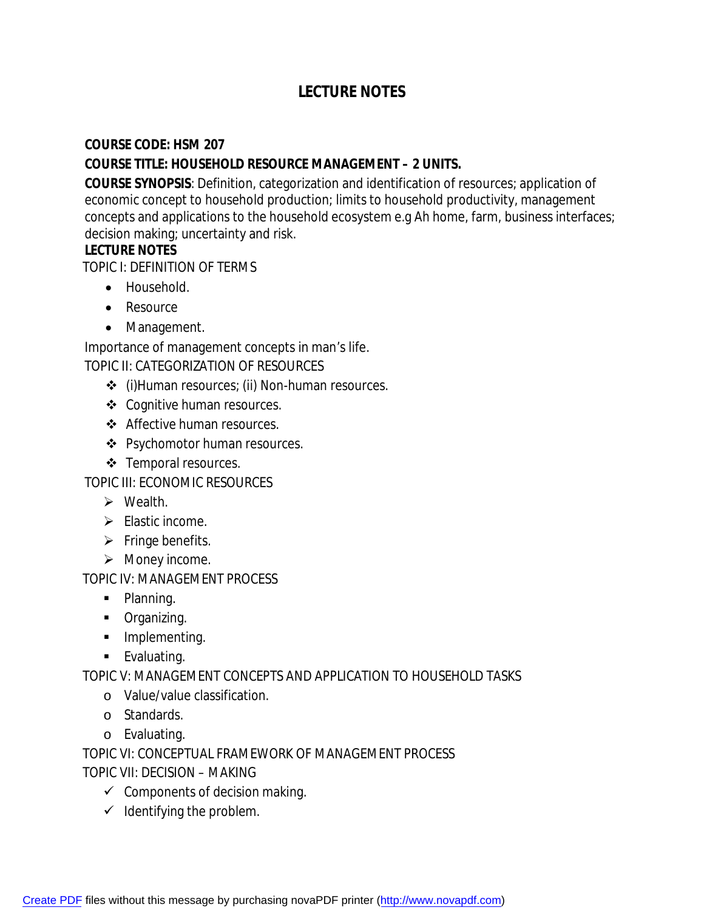# **LECTURE NOTES**

### **COURSE CODE: HSM 207**

### **COURSE TITLE: HOUSEHOLD RESOURCE MANAGEMENT – 2 UNITS.**

**COURSE SYNOPSIS**: Definition, categorization and identification of resources; application of economic concept to household production; limits to household productivity, management concepts and applications to the household ecosystem e.g Ah home, farm, business interfaces; decision making; uncertainty and risk.

### **LECTURE NOTES**

TOPIC I: DEFINITION OF TERMS

- Household.
- Resource
- Management.

Importance of management concepts in man's life.

TOPIC II: CATEGORIZATION OF RESOURCES

- (i)Human resources; (ii) Non-human resources.
- Cognitive human resources.
- Affective human resources.
- ❖ Psychomotor human resources.
- ❖ Temporal resources.

TOPIC III: ECONOMIC RESOURCES

- $\triangleright$  Wealth.
- $\blacktriangleright$  Elastic income.
- $\triangleright$  Fringe benefits.
- $\triangleright$  Money income.

TOPIC IV: MANAGEMENT PROCESS

- Planning.
- **Organizing.**
- **Implementing.**
- **Evaluating.**

### TOPIC V: MANAGEMENT CONCEPTS AND APPLICATION TO HOUSEHOLD TASKS

- o Value/value classification.
- o Standards.
- o Evaluating.

TOPIC VI: CONCEPTUAL FRAMEWORK OF MANAGEMENT PROCESS

TOPIC VII: DECISION – MAKING

- $\checkmark$  Components of decision making.
- $\checkmark$  Identifying the problem.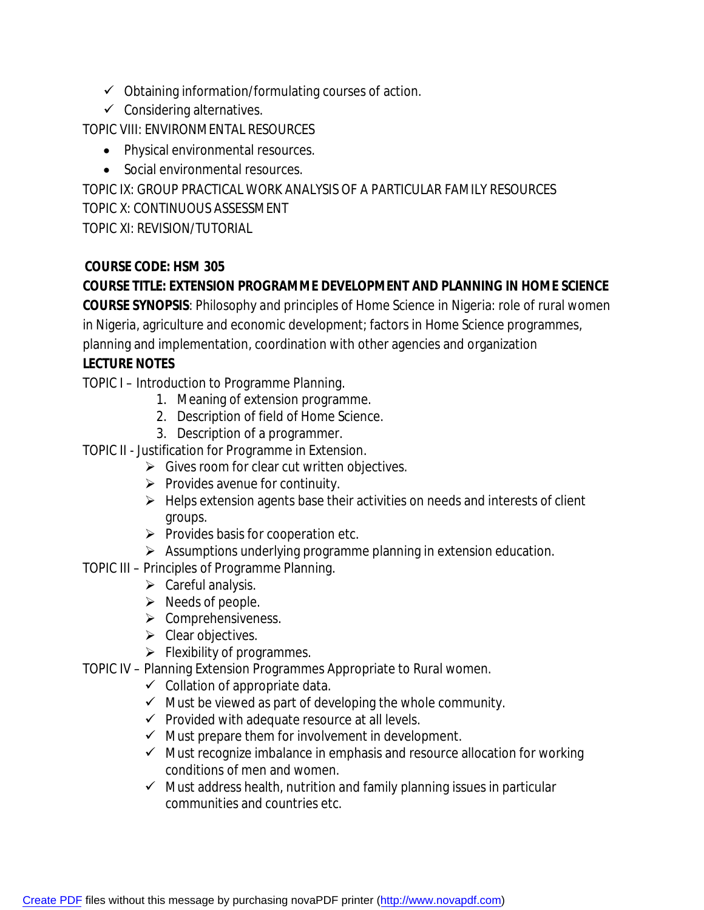- $\checkmark$  Obtaining information/formulating courses of action.
- $\checkmark$  Considering alternatives.

TOPIC VIII: ENVIRONMENTAL RESOURCES

- Physical environmental resources.
- Social environmental resources.

TOPIC IX: GROUP PRACTICAL WORK ANALYSIS OF A PARTICULAR FAMILY RESOURCES TOPIC X: CONTINUOUS ASSESSMENT TOPIC XI: REVISION/TUTORIAL

## **COURSE CODE: HSM 305**

**COURSE TITLE: EXTENSION PROGRAMME DEVELOPMENT AND PLANNING IN HOME SCIENCE**

**COURSE SYNOPSIS**: Philosophy and principles of Home Science in Nigeria: role of rural women in Nigeria, agriculture and economic development; factors in Home Science programmes, planning and implementation, coordination with other agencies and organization

## **LECTURE NOTES**

TOPIC I – Introduction to Programme Planning.

- 1. Meaning of extension programme.
- 2. Description of field of Home Science.
- 3. Description of a programmer.
- TOPIC II Justification for Programme in Extension.
	- $\triangleright$  Gives room for clear cut written objectives.
	- $\triangleright$  Provides avenue for continuity.
	- $\triangleright$  Helps extension agents base their activities on needs and interests of client groups.
	- $\triangleright$  Provides basis for cooperation etc.
	- $\triangleright$  Assumptions underlying programme planning in extension education.
- TOPIC III Principles of Programme Planning.
	- $\triangleright$  Careful analysis.
	- $\triangleright$  Needs of people.
	- $\triangleright$  Comprehensiveness.
	- $\triangleright$  Clear objectives.
	- $\triangleright$  Flexibility of programmes.
- TOPIC IV Planning Extension Programmes Appropriate to Rural women.
	- $\checkmark$  Collation of appropriate data.
	- $\checkmark$  Must be viewed as part of developing the whole community.
	- $\checkmark$  Provided with adequate resource at all levels.
	- $\checkmark$  Must prepare them for involvement in development.
	- $\checkmark$  Must recognize imbalance in emphasis and resource allocation for working conditions of men and women.
	- $\checkmark$  Must address health, nutrition and family planning issues in particular communities and countries etc.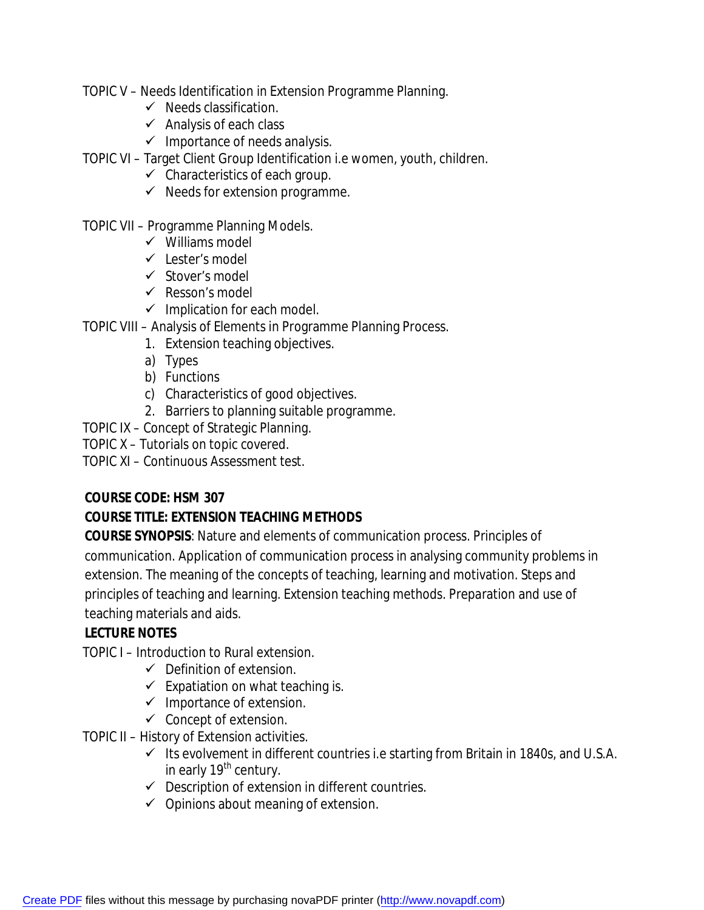TOPIC V – Needs Identification in Extension Programme Planning.

- $\checkmark$  Needs classification.
- $\checkmark$  Analysis of each class
- $\checkmark$  Importance of needs analysis.
- TOPIC VI Target Client Group Identification i.e women, youth, children.
	- $\checkmark$  Characteristics of each group.
	- $\checkmark$  Needs for extension programme.

### TOPIC VII – Programme Planning Models.

- $\checkmark$  Williams model
- $\checkmark$  Lester's model
- $\checkmark$  Stover's model
- $\checkmark$  Resson's model
- $\checkmark$  Implication for each model.
- TOPIC VIII Analysis of Elements in Programme Planning Process.
	- 1. Extension teaching objectives.
	- a) Types
	- b) Functions
	- c) Characteristics of good objectives.
	- 2. Barriers to planning suitable programme.
- TOPIC IX Concept of Strategic Planning.
- TOPIC X Tutorials on topic covered.
- TOPIC XI Continuous Assessment test.

## **COURSE CODE: HSM 307**

## **COURSE TITLE: EXTENSION TEACHING METHODS**

**COURSE SYNOPSIS**: Nature and elements of communication process. Principles of communication. Application of communication process in analysing community problems in extension. The meaning of the concepts of teaching, learning and motivation. Steps and principles of teaching and learning. Extension teaching methods. Preparation and use of teaching materials and aids.

## **LECTURE NOTES**

TOPIC I – Introduction to Rural extension.

- $\checkmark$  Definition of extension.
- $\checkmark$  Expatiation on what teaching is.
- $\checkmark$  Importance of extension.
- $\checkmark$  Concept of extension.

TOPIC II – History of Extension activities.

- $\checkmark$  Its evolvement in different countries i.e starting from Britain in 1840s, and U.S.A. in early 19<sup>th</sup> century.
- $\checkmark$  Description of extension in different countries.
- $\checkmark$  Opinions about meaning of extension.